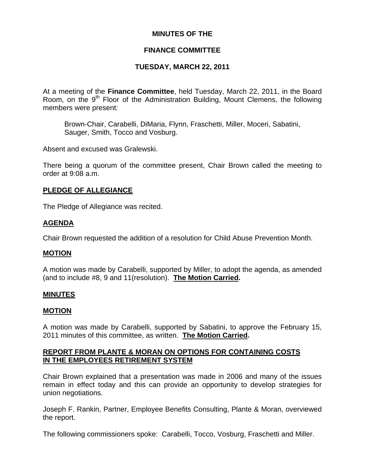## **MINUTES OF THE**

# **FINANCE COMMITTEE**

# **TUESDAY, MARCH 22, 2011**

At a meeting of the **Finance Committee**, held Tuesday, March 22, 2011, in the Board Room, on the  $9<sup>th</sup>$  Floor of the Administration Building, Mount Clemens, the following members were present:

Brown-Chair, Carabelli, DiMaria, Flynn, Fraschetti, Miller, Moceri, Sabatini, Sauger, Smith, Tocco and Vosburg.

Absent and excused was Gralewski.

There being a quorum of the committee present, Chair Brown called the meeting to order at 9:08 a.m.

## **PLEDGE OF ALLEGIANCE**

The Pledge of Allegiance was recited.

## **AGENDA**

Chair Brown requested the addition of a resolution for Child Abuse Prevention Month.

## **MOTION**

A motion was made by Carabelli, supported by Miller, to adopt the agenda, as amended (and to include #8, 9 and 11(resolution). **The Motion Carried.** 

## **MINUTES**

## **MOTION**

A motion was made by Carabelli, supported by Sabatini, to approve the February 15, 2011 minutes of this committee, as written. **The Motion Carried.** 

## **REPORT FROM PLANTE & MORAN ON OPTIONS FOR CONTAINING COSTS IN THE EMPLOYEES RETIREMENT SYSTEM**

Chair Brown explained that a presentation was made in 2006 and many of the issues remain in effect today and this can provide an opportunity to develop strategies for union negotiations.

Joseph F. Rankin, Partner, Employee Benefits Consulting, Plante & Moran, overviewed the report.

The following commissioners spoke: Carabelli, Tocco, Vosburg, Fraschetti and Miller.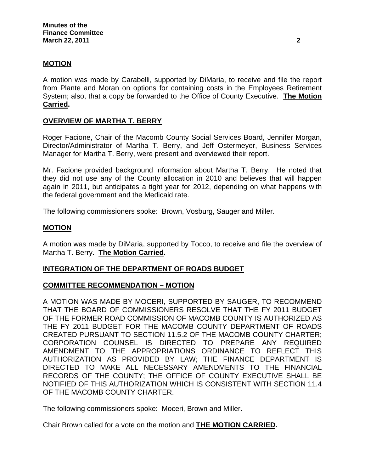### **MOTION**

A motion was made by Carabelli, supported by DiMaria, to receive and file the report from Plante and Moran on options for containing costs in the Employees Retirement System; also, that a copy be forwarded to the Office of County Executive. **The Motion Carried.** 

### **OVERVIEW OF MARTHA T. BERRY**

Roger Facione, Chair of the Macomb County Social Services Board, Jennifer Morgan, Director/Administrator of Martha T. Berry, and Jeff Ostermeyer, Business Services Manager for Martha T. Berry, were present and overviewed their report.

Mr. Facione provided background information about Martha T. Berry. He noted that they did not use any of the County allocation in 2010 and believes that will happen again in 2011, but anticipates a tight year for 2012, depending on what happens with the federal government and the Medicaid rate.

The following commissioners spoke: Brown, Vosburg, Sauger and Miller.

#### **MOTION**

A motion was made by DiMaria, supported by Tocco, to receive and file the overview of Martha T. Berry. **The Motion Carried.** 

#### **INTEGRATION OF THE DEPARTMENT OF ROADS BUDGET**

### **COMMITTEE RECOMMENDATION – MOTION**

A MOTION WAS MADE BY MOCERI, SUPPORTED BY SAUGER, TO RECOMMEND THAT THE BOARD OF COMMISSIONERS RESOLVE THAT THE FY 2011 BUDGET OF THE FORMER ROAD COMMISSION OF MACOMB COUNTY IS AUTHORIZED AS THE FY 2011 BUDGET FOR THE MACOMB COUNTY DEPARTMENT OF ROADS CREATED PURSUANT TO SECTION 11.5.2 OF THE MACOMB COUNTY CHARTER; CORPORATION COUNSEL IS DIRECTED TO PREPARE ANY REQUIRED AMENDMENT TO THE APPROPRIATIONS ORDINANCE TO REFLECT THIS AUTHORIZATION AS PROVIDED BY LAW; THE FINANCE DEPARTMENT IS DIRECTED TO MAKE ALL NECESSARY AMENDMENTS TO THE FINANCIAL RECORDS OF THE COUNTY; THE OFFICE OF COUNTY EXECUTIVE SHALL BE NOTIFIED OF THIS AUTHORIZATION WHICH IS CONSISTENT WITH SECTION 11.4 OF THE MACOMB COUNTY CHARTER.

The following commissioners spoke: Moceri, Brown and Miller.

Chair Brown called for a vote on the motion and **THE MOTION CARRIED.**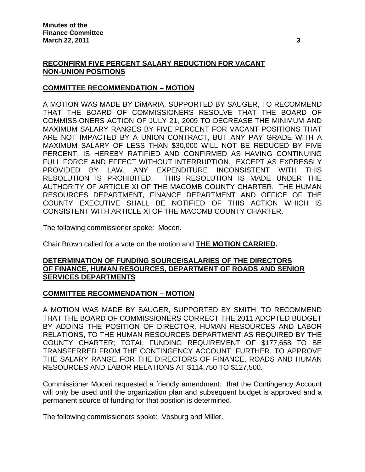# **RECONFIRM FIVE PERCENT SALARY REDUCTION FOR VACANT NON-UNION POSITIONS**

## **COMMITTEE RECOMMENDATION – MOTION**

A MOTION WAS MADE BY DiMARIA, SUPPORTED BY SAUGER, TO RECOMMEND THAT THE BOARD OF COMMISSIONERS RESOLVE THAT THE BOARD OF COMMISSIONERS ACTION OF JULY 21, 2009 TO DECREASE THE MINIMUM AND MAXIMUM SALARY RANGES BY FIVE PERCENT FOR VACANT POSITIONS THAT ARE NOT IMPACTED BY A UNION CONTRACT, BUT ANY PAY GRADE WITH A MAXIMUM SALARY OF LESS THAN \$30,000 WILL NOT BE REDUCED BY FIVE PERCENT, IS HEREBY RATIFIED AND CONFIRMED AS HAVING CONTINUING FULL FORCE AND EFFECT WITHOUT INTERRUPTION. EXCEPT AS EXPRESSLY PROVIDED BY LAW, ANY EXPENDITURE INCONSISTENT WITH THIS RESOLUTION IS PROHIBITED. THIS RESOLUTION IS MADE UNDER THE AUTHORITY OF ARTICLE XI OF THE MACOMB COUNTY CHARTER. THE HUMAN RESOURCES DEPARTMENT, FINANCE DEPARTMENT AND OFFICE OF THE COUNTY EXECUTIVE SHALL BE NOTIFIED OF THIS ACTION WHICH IS CONSISTENT WITH ARTICLE XI OF THE MACOMB COUNTY CHARTER.

The following commissioner spoke: Moceri.

Chair Brown called for a vote on the motion and **THE MOTION CARRIED.** 

### **DETERMINATION OF FUNDING SOURCE/SALARIES OF THE DIRECTORS OF FINANCE, HUMAN RESOURCES, DEPARTMENT OF ROADS AND SENIOR SERVICES DEPARTMENTS**

## **COMMITTEE RECOMMENDATION – MOTION**

A MOTION WAS MADE BY SAUGER, SUPPORTED BY SMITH, TO RECOMMEND THAT THE BOARD OF COMMISSIONERS CORRECT THE 2011 ADOPTED BUDGET BY ADDING THE POSITION OF DIRECTOR, HUMAN RESOURCES AND LABOR RELATIONS, TO THE HUMAN RESOURCES DEPARTMENT AS REQUIRED BY THE COUNTY CHARTER; TOTAL FUNDING REQUIREMENT OF \$177,658 TO BE TRANSFERRED FROM THE CONTINGENCY ACCOUNT; FURTHER, TO APPROVE THE SALARY RANGE FOR THE DIRECTORS OF FINANCE, ROADS AND HUMAN RESOURCES AND LABOR RELATIONS AT \$114,750 TO \$127,500.

Commissioner Moceri requested a friendly amendment: that the Contingency Account will only be used until the organization plan and subsequent budget is approved and a permanent source of funding for that position is determined.

The following commissioners spoke: Vosburg and Miller.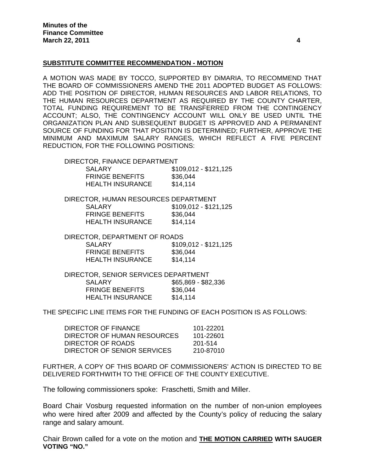#### **SUBSTITUTE COMMITTEE RECOMMENDATION - MOTION**

A MOTION WAS MADE BY TOCCO, SUPPORTED BY DiMARIA, TO RECOMMEND THAT THE BOARD OF COMMISSIONERS AMEND THE 2011 ADOPTED BUDGET AS FOLLOWS: ADD THE POSITION OF DIRECTOR, HUMAN RESOURCES AND LABOR RELATIONS, TO THE HUMAN RESOURCES DEPARTMENT AS REQUIRED BY THE COUNTY CHARTER, TOTAL FUNDING REQUIREMENT TO BE TRANSFERRED FROM THE CONTINGENCY ACCOUNT; ALSO, THE CONTINGENCY ACCOUNT WILL ONLY BE USED UNTIL THE ORGANIZATION PLAN AND SUBSEQUENT BUDGET IS APPROVED AND A PERMANENT SOURCE OF FUNDING FOR THAT POSITION IS DETERMINED; FURTHER, APPROVE THE MINIMUM AND MAXIMUM SALARY RANGES, WHICH REFLECT A FIVE PERCENT REDUCTION, FOR THE FOLLOWING POSITIONS:

| DIRECTOR, FINANCE DEPARTMENT |                       |
|------------------------------|-----------------------|
| SALARY                       | $$109,012 - $121,125$ |
| <b>FRINGE BENEFITS</b>       | \$36,044              |
| <b>HEALTH INSURANCE</b>      | \$14.114              |

 DIRECTOR, HUMAN RESOURCES DEPARTMENT SALARY \$109,012 - \$121,125 FRINGE BENEFITS \$36,044 HEALTH INSURANCE \$14,114

 DIRECTOR, DEPARTMENT OF ROADS SALARY \$109,012 - \$121,125 FRINGE BENEFITS \$36,044 HEALTH INSURANCE \$14,114

 DIRECTOR, SENIOR SERVICES DEPARTMENT SALARY \$65,869 - \$82,336 FRINGE BENEFITS \$36,044 HEALTH INSURANCE \$14,114

THE SPECIFIC LINE ITEMS FOR THE FUNDING OF EACH POSITION IS AS FOLLOWS:

| DIRECTOR OF FINANCE         | 101-22201 |
|-----------------------------|-----------|
| DIRECTOR OF HUMAN RESOURCES | 101-22601 |
| DIRECTOR OF ROADS           | 201-514   |
| DIRECTOR OF SENIOR SERVICES | 210-87010 |

FURTHER, A COPY OF THIS BOARD OF COMMISSIONERS' ACTION IS DIRECTED TO BE DELIVERED FORTHWITH TO THE OFFICE OF THE COUNTY EXECUTIVE.

The following commissioners spoke: Fraschetti, Smith and Miller.

Board Chair Vosburg requested information on the number of non-union employees who were hired after 2009 and affected by the County's policy of reducing the salary range and salary amount.

Chair Brown called for a vote on the motion and **THE MOTION CARRIED WITH SAUGER VOTING "NO."**